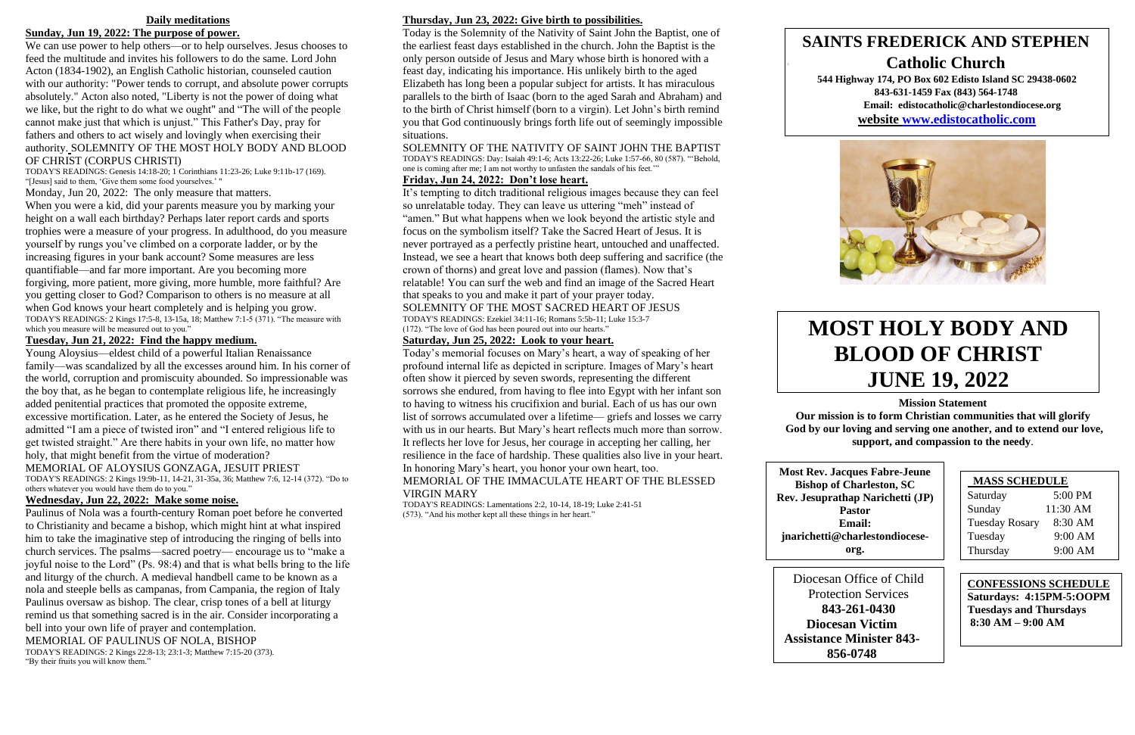### **Daily meditations**

### **Sunday, Jun 19, 2022: The purpose of power.**

We can use power to help others—or to help ourselves. Jesus chooses to feed the multitude and invites his followers to do the same. Lord John Acton (1834-1902), an English Catholic historian, counseled caution with our authority: "Power tends to corrupt, and absolute power corrupts absolutely." Acton also noted, "Liberty is not the power of doing what we like, but the right to do what we ought" and "The will of the people cannot make just that which is unjust." This Father's Day, pray for fathers and others to act wisely and lovingly when exercising their authority. SOLEMNITY OF THE MOST HOLY BODY AND BLOOD OF CHRIST (CORPUS CHRISTI)

TODAY'S READINGS: Genesis 14:18-20; 1 Corinthians 11:23-26; Luke 9:11b-17 (169). "[Jesus] said to them, 'Give them some food yourselves.' "

Monday, Jun 20, 2022: The only measure that matters.

When you were a kid, did your parents measure you by marking your height on a wall each birthday? Perhaps later report cards and sports trophies were a measure of your progress. In adulthood, do you measure yourself by rungs you've climbed on a corporate ladder, or by the increasing figures in your bank account? Some measures are less quantifiable—and far more important. Are you becoming more forgiving, more patient, more giving, more humble, more faithful? Are you getting closer to God? Comparison to others is no measure at all when God knows your heart completely and is helping you grow. TODAY'S READINGS: 2 Kings 17:5-8, 13-15a, 18; Matthew 7:1-5 (371). "The measure with which you measure will be measured out to you."

### **Tuesday, Jun 21, 2022: Find the happy medium.**

Young Aloysius—eldest child of a powerful Italian Renaissance family—was scandalized by all the excesses around him. In his corner of the world, corruption and promiscuity abounded. So impressionable was the boy that, as he began to contemplate religious life, he increasingly added penitential practices that promoted the opposite extreme, excessive mortification. Later, as he entered the Society of Jesus, he admitted "I am a piece of twisted iron" and "I entered religious life to get twisted straight." Are there habits in your own life, no matter how holy, that might benefit from the virtue of moderation?

MEMORIAL OF ALOYSIUS GONZAGA, JESUIT PRIEST TODAY'S READINGS: 2 Kings 19:9b-11, 14-21, 31-35a, 36; Matthew 7:6, 12-14 (372). "Do to

others whatever you would have them do to you."

## **Wednesday, Jun 22, 2022: Make some noise.**

Paulinus of Nola was a fourth-century Roman poet before he converted to Christianity and became a bishop, which might hint at what inspired him to take the imaginative step of introducing the ringing of bells into church services. The psalms—sacred poetry— encourage us to "make a joyful noise to the Lord" (Ps. 98:4) and that is what bells bring to the life and liturgy of the church. A medieval handbell came to be known as a nola and steeple bells as campanas, from Campania, the region of Italy Paulinus oversaw as bishop. The clear, crisp tones of a bell at liturgy remind us that something sacred is in the air. Consider incorporating a bell into your own life of prayer and contemplation. MEMORIAL OF PAULINUS OF NOLA, BISHOP TODAY'S READINGS: 2 Kings 22:8-13; 23:1-3; Matthew 7:15-20 (373). "By their fruits you will know them."

### **Thursday, Jun 23, 2022: Give birth to possibilities.**

Today is the Solemnity of the Nativity of Saint John the Baptist, one of the earliest feast days established in the church. John the Baptist is the only person outside of Jesus and Mary whose birth is honored with a feast day, indicating his importance. His unlikely birth to the aged Elizabeth has long been a popular subject for artists. It has miraculous parallels to the birth of Isaac (born to the aged Sarah and Abraham) and to the birth of Christ himself (born to a virgin). Let John's birth remind you that God continuously brings forth life out of seemingly impossible situations.

SOLEMNITY OF THE NATIVITY OF SAINT JOHN THE BAPTIST TODAY'S READINGS: Day: Isaiah 49:1-6; Acts 13:22-26; Luke 1:57-66, 80 (587). "'Behold, one is coming after me; I am not worthy to unfasten the sandals of his feet.'" **Friday, Jun 24, 2022: Don't lose heart.**

It's tempting to ditch traditional religious images because they can feel so unrelatable today. They can leave us uttering "meh" instead of "amen." But what happens when we look beyond the artistic style and focus on the symbolism itself? Take the Sacred Heart of Jesus. It is never portrayed as a perfectly pristine heart, untouched and unaffected. Instead, we see a heart that knows both deep suffering and sacrifice (the crown of thorns) and great love and passion (flames). Now that's relatable! You can surf the web and find an image of the Sacred Heart that speaks to you and make it part of your prayer today. SOLEMNITY OF THE MOST SACRED HEART OF JESUS

TODAY'S READINGS: Ezekiel 34:11-16; Romans 5:5b-11; Luke 15:3-7 (172). "The love of God has been poured out into our hearts."

### **Saturday, Jun 25, 2022: Look to your heart.**

Today's memorial focuses on Mary's heart, a way of speaking of her profound internal life as depicted in scripture. Images of Mary's heart often show it pierced by seven swords, representing the different sorrows she endured, from having to flee into Egypt with her infant son to having to witness his crucifixion and burial. Each of us has our own list of sorrows accumulated over a lifetime— griefs and losses we carry with us in our hearts. But Mary's heart reflects much more than sorrow. It reflects her love for Jesus, her courage in accepting her calling, her resilience in the face of hardship. These qualities also live in your heart. In honoring Mary's heart, you honor your own heart, too.

### MEMORIAL OF THE IMMACULATE HEART OF THE BLESSED VIRGIN MARY

TODAY'S READINGS: Lamentations 2:2, 10-14, 18-19; Luke 2:41-51 (573). "And his mother kept all these things in her heart."



**Mission Statement**

**Our mission is to form Christian communities that will glorify God by our loving and serving one another, and to extend our love, support, and compassion to the needy**.

| <b>MASS SCHEDULE</b>  |           |  |
|-----------------------|-----------|--|
| Saturday              | 5:00 PM   |  |
| Sunday                | 11:30 AM  |  |
| <b>Tuesday Rosary</b> | 8:30 AM   |  |
| Tuesday               | 9:00 AM   |  |
| Thursday              | $9:00$ AM |  |

# **SAINTS FREDERICK AND STEPHEN Catholic Church**

**544 Highway 174, PO Box 602 Edisto Island SC 29438-0602 843-631-1459 Fax (843) 564-1748 Email: edistocatholic@charlestondiocese.org website [www.edistocatholic.com](http://www.edistocatholic.com/)**



# **MOST HOLY BODY AND BLOOD OF CHRIST JUNE 19, 2022**

**CONFESSIONS SCHEDULE Saturdays: 4:15PM-5:OOPM Tuesdays and Thursdays 8:30 AM – 9:00 AM**

**Most Rev. Jacques Fabre-Jeune Bishop of Charleston, SC Rev. Jesuprathap Narichetti (JP) Pastor Email: jnarichetti@charlestondioceseorg.**

Diocesan Office of Child Protection Services **843-261-0430 Diocesan Victim Assistance Minister 843- 856-0748**